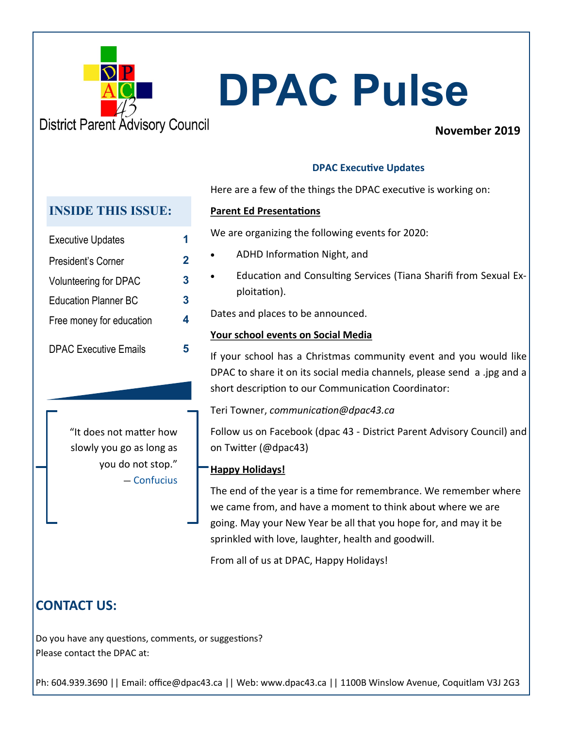

# **DPAC Pulse**

## **November 2019**

## **DPAC Executive Updates**

Here are a few of the things the DPAC executive is working on:

## **Parent Ed Presentations**

We are organizing the following events for 2020:

- ADHD Information Night, and
- Education and Consulting Services (Tiana Sharifi from Sexual Exploitation).

Dates and places to be announced.

## **Your school events on Social Media**

If your school has a Christmas community event and you would like DPAC to share it on its social media channels, please send a .jpg and a short description to our Communication Coordinator:

Teri Towner, *communication@dpac43.ca*

Follow us on Facebook (dpac 43 - District Parent Advisory Council) and on Twitter (@dpac43)

## **Happy Holidays!**

The end of the year is a time for remembrance. We remember where we came from, and have a moment to think about where we are going. May your New Year be all that you hope for, and may it be sprinkled with love, laughter, health and goodwill.

From all of us at DPAC, Happy Holidays!

## **CONTACT US:**

Do you have any questions, comments, or suggestions? Please contact the DPAC at:

Ph: 604.939.3690 || Email: office@dpac43.ca || Web: www.dpac43.ca || 1100B Winslow Avenue, Coquitlam V3J 2G3

## **INSIDE THIS ISSUE:**

| <b>Executive Updates</b>     | 1 |
|------------------------------|---|
| President's Corner           | 2 |
| <b>Volunteering for DPAC</b> | 3 |
| <b>Education Planner BC</b>  | 3 |
| Free money for education     | 4 |
| <b>DPAC Executive Emails</b> |   |

"It does not matter how slowly you go as long as you do not stop." ― Confucius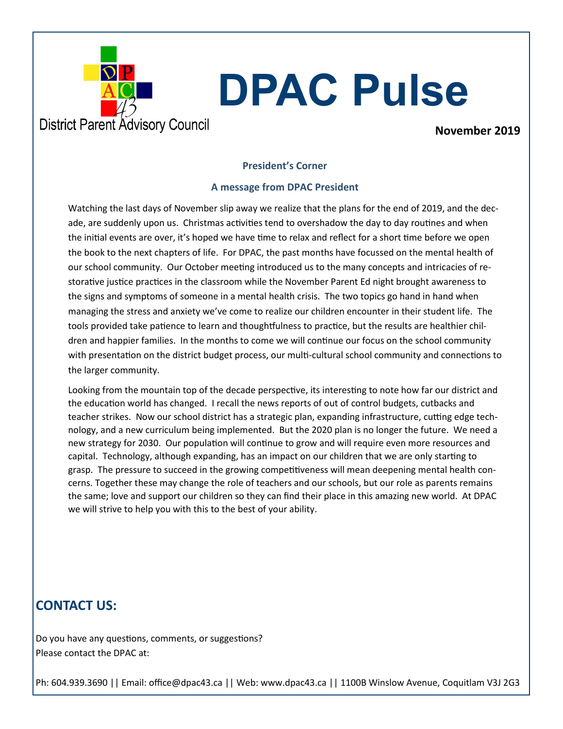

# **DPAC Pulse**

**November 2019**

### **President's Corner**

### **A message from DPAC President**

Watching the last days of November slip away we realize that the plans for the end of 2019, and the decade, are suddenly upon us. Christmas activities tend to overshadow the day to day routines and when the initial events are over, it's hoped we have time to relax and reflect for a short time before we open the book to the next chapters of life. For DPAC, the past months have focussed on the mental health of our school community. Our October meeting introduced us to the many concepts and intricacies of restorative justice practices in the classroom while the November Parent Ed night brought awareness to the signs and symptoms of someone in a mental health crisis. The two topics go hand in hand when managing the stress and anxiety we've come to realize our children encounter in their student life. The tools provided take patience to learn and thoughtfulness to practice, but the results are healthier children and happier families. In the months to come we will continue our focus on the school community with presentation on the district budget process, our multi-cultural school community and connections to the larger community.

Looking from the mountain top of the decade perspective, its interesting to note how far our district and the education world has changed. I recall the news reports of out of control budgets, cutbacks and teacher strikes. Now our school district has a strategic plan, expanding infrastructure, cutting edge technology, and a new curriculum being implemented. But the 2020 plan is no longer the future. We need a new strategy for 2030. Our population will continue to grow and will require even more resources and capital. Technology, although expanding, has an impact on our children that we are only starting to grasp. The pressure to succeed in the growing competitiveness will mean deepening mental health concerns. Together these may change the role of teachers and our schools, but our role as parents remains the same; love and support our children so they can find their place in this amazing new world. At DPAC we will strive to help you with this to the best of your ability.

## **CONTACT US:**

Do you have any questions, comments, or suggestions? Please contact the DPAC at:

Ph: 604.939.3690 || Email: office@dpac43.ca || Web: www.dpac43.ca || 1100B Winslow Avenue, Coquitlam V3J 2G3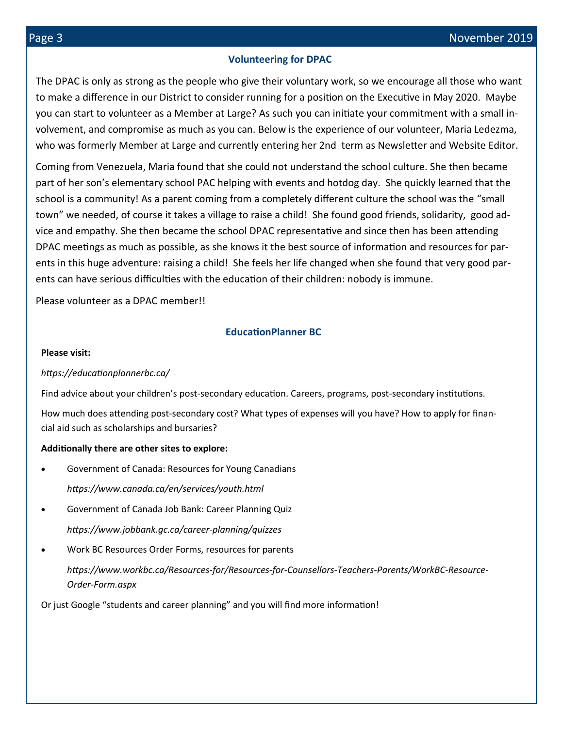#### **Volunteering for DPAC**

The DPAC is only as strong as the people who give their voluntary work, so we encourage all those who want to make a difference in our District to consider running for a position on the Executive in May 2020. Maybe you can start to volunteer as a Member at Large? As such you can initiate your commitment with a small involvement, and compromise as much as you can. Below is the experience of our volunteer, Maria Ledezma, who was formerly Member at Large and currently entering her 2nd term as Newsletter and Website Editor.

Coming from Venezuela, Maria found that she could not understand the school culture. She then became part of her son's elementary school PAC helping with events and hotdog day. She quickly learned that the school is a community! As a parent coming from a completely different culture the school was the "small town" we needed, of course it takes a village to raise a child! She found good friends, solidarity, good advice and empathy. She then became the school DPAC representative and since then has been attending DPAC meetings as much as possible, as she knows it the best source of information and resources for parents in this huge adventure: raising a child! She feels her life changed when she found that very good parents can have serious difficulties with the education of their children: nobody is immune.

Please volunteer as a DPAC member!!

### **EducationPlanner BC**

#### **Please visit:**

#### *https://educationplannerbc.ca/*

Find advice about your children's post-secondary education. Careers, programs, post-secondary institutions.

How much does attending post-secondary cost? What types of expenses will you have? How to apply for financial aid such as scholarships and bursaries?

#### **Additionally there are other sites to explore:**

- Government of Canada: Resources for Young Canadians *https://www.canada.ca/en/services/youth.html*
- Government of Canada Job Bank: Career Planning Quiz *https://www.jobbank.gc.ca/career-planning/quizzes*
- Work BC Resources Order Forms, resources for parents

*https://www.workbc.ca/Resources-for/Resources-for-Counsellors-Teachers-Parents/WorkBC-Resource-Order-Form.aspx*

Or just Google "students and career planning" and you will find more information!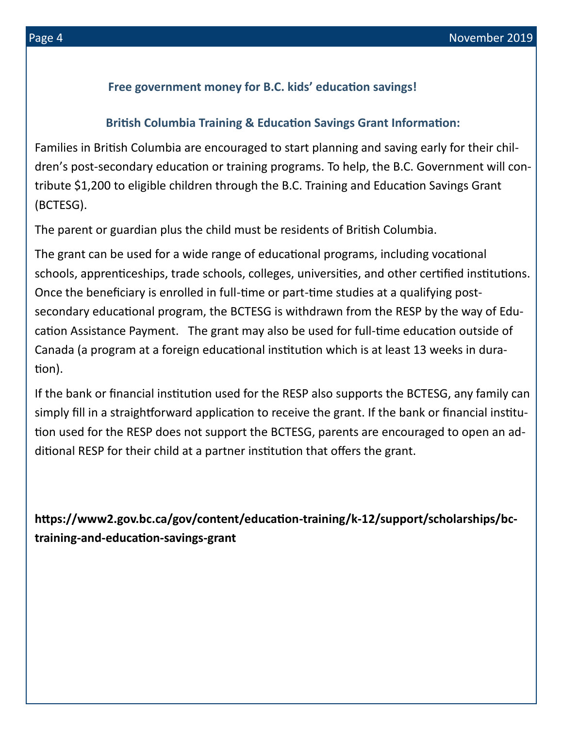## **Free government money for B.C. kids' education savings!**

## **British Columbia Training & Education Savings Grant Information:**

Families in British Columbia are encouraged to start planning and saving early for their children's post-secondary education or training programs. To help, the B.C. Government will contribute \$1,200 to eligible children through the B.C. Training and Education Savings Grant (BCTESG).

The parent or guardian plus the child must be residents of British Columbia.

The grant can be used for a wide range of educational programs, including vocational schools, apprenticeships, trade schools, colleges, universities, and other certified institutions. Once the beneficiary is enrolled in full-time or part-time studies at a qualifying postsecondary educational program, the BCTESG is withdrawn from the RESP by the way of Education Assistance Payment. The grant may also be used for full-time education outside of Canada (a program at a foreign educational institution which is at least 13 weeks in duration).

If the bank or financial institution used for the RESP also supports the BCTESG, any family can simply fill in a straightforward application to receive the grant. If the bank or financial institution used for the RESP does not support the BCTESG, parents are encouraged to open an additional RESP for their child at a partner institution that offers the grant.

**https://www2.gov.bc.ca/gov/content/education-training/k-12/support/scholarships/bctraining-and-education-savings-grant**